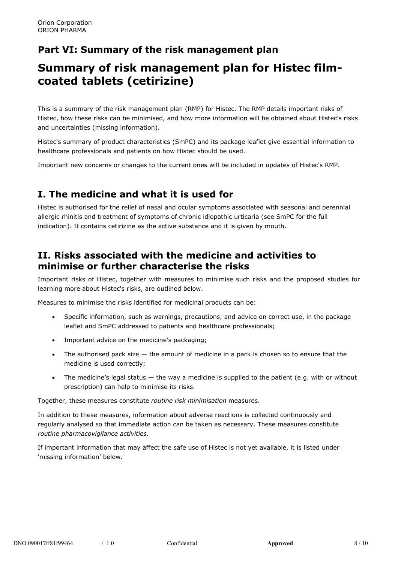## **Part VI: Summary of the risk management plan**

# **Summary of risk management plan for Histec filmcoated tablets (cetirizine)**

This is a summary of the risk management plan (RMP) for Histec. The RMP details important risks of Histec, how these risks can be minimised, and how more information will be obtained about Histec's risks and uncertainties (missing information).

Histec's summary of product characteristics (SmPC) and its package leaflet give essential information to healthcare professionals and patients on how Histec should be used.

Important new concerns or changes to the current ones will be included in updates of Histec's RMP.

### **I. The medicine and what it is used for**

Histec is authorised for the relief of nasal and ocular symptoms associated with seasonal and perennial allergic rhinitis and treatment of symptoms of chronic idiopathic urticaria (see SmPC for the full indication). It contains cetirizine as the active substance and it is given by mouth.

### **II. Risks associated with the medicine and activities to minimise or further characterise the risks**

Important risks of Histec, together with measures to minimise such risks and the proposed studies for learning more about Histec's risks, are outlined below.

Measures to minimise the risks identified for medicinal products can be:

- Specific information, such as warnings, precautions, and advice on correct use, in the package leaflet and SmPC addressed to patients and healthcare professionals;
- Important advice on the medicine's packaging;
- The authorised pack size  $-$  the amount of medicine in a pack is chosen so to ensure that the medicine is used correctly;
- The medicine's legal status the way a medicine is supplied to the patient (e.g. with or without prescription) can help to minimise its risks.

Together, these measures constitute *routine risk minimisation* measures.

In addition to these measures, information about adverse reactions is collected continuously and regularly analysed so that immediate action can be taken as necessary. These measures constitute *routine pharmacovigilance activities*.

If important information that may affect the safe use of Histec is not yet available, it is listed under 'missing information' below.